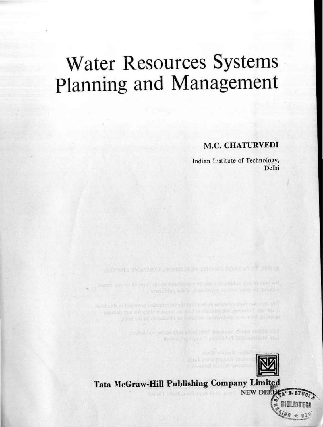# Water Resources Systems Planning and Management

# M.C. CHATURVEDI

lndian Institute of Technology, Delhi



Posteine an experience from temperature as the collision

betall appear it! Published a companies that

**GETTING I YMRONO'S CRIMELIADO ALIGNATION ATAT**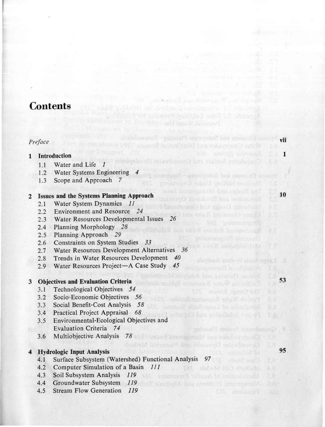# **Contents**

## *Preface*

#### l lntroduction

- 1.1 Water and Life
- 1.2 Water Systems Engineering
- 1.3 Scope and Approach 7

### 2 lssues and the Systems Planning Approach

- 2.1 Water System Dynamics 11
- 2.2 Environment and Resource *24*
- 2.3 Water Resources Developmental Tssues *26*
- 2.4 Planning Morphology *28*
- 2.5 Planning Approach *29*
- 2.6 Constraints on System Studies *33*
- 2.7 Water Resources Development Alternatives *36*
- 2.8 Trends in Water Resources Development 40
- 2.9 Water Resources Project-A Case Study 45

#### 3 Objectives and Evaluation Criteria

- 3.1 Technological Objectives 54
- 3.2 Socio-Economie Objectives *56*
- 3.3 Social Benefit-Cost Analysis *58*
- 3.4 Practical Project Appraisal 68
- 3.5 Environmental-Ecological Objectives and Evaluation Criteria 74
- 3.6 Multiobjective Analysis *78*

#### 4 Hydrologic Inpot Analysis

- 4.1 Surface Subsystem (Watershed) Functional Analysis *97*
- 4.2 Computer Simulation of a Basin *111*
- 4.3 Soil Subsystem Analysis *119*
- 4.4 Groundwater Subsystem 119 and the contract of the contract of the contract of the contract of the contract of the contract of the contract of the contract of the contract of the contract of the contract of the contract
- 4.5 Stream Flow Generation 119

53

95

p.g.

vii

Research Late Proceeds.

in Elements and Subscripts Flaming-Users De When Conveying the third but the System's

Conjunctive Surface she Groundwast Development

Great Great Dynamics not Nummer's Rethod

l

lO

乱军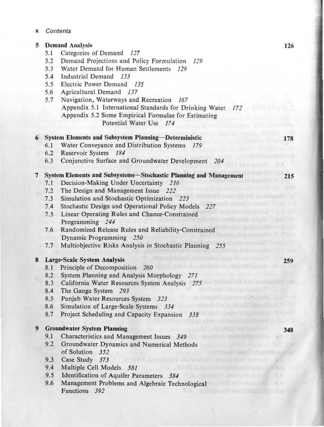x *Contents* 

#### 5 Demand Analysis

- 5.1 Categories of Demand *127*
- 5.2 Demand Projectioos and Policy Formulation *129*
- 5.3 Water Demand for Human Settlements *129*
- 5.4 Industriai Demand *133*
- 5.5 Electric Power Demand *135*
- 5.6 Agricultural Demand *137*
- 5.7 Navigation, Waterways and. Recreation *167*  Appendix 5.1 International Standards for Drinking Water *172* Appendix 5.2 Some Empirica! Formulae for Estimating Potential Water Use *174*

# 6 System Elements and Subsystem Planning-Deterministic

- 6. 1 Water Conveyance and Distribution Systems *179*
- 6.2 Reservoir System *184*
- 6.3 Conjunctive Surface and Groundwater Development *204*

## 7 System Elements and Subsystems-Stocbastic PJanning and Management

- 7.1 Decision-Making Under Uncertainty 216
- 7.2 The Design and Management Issue 222
- 7.3 Simulation and Stochastic Optimization 223
- 7.4 Stochastic Design and Operational Policy Models 227
- 7.5 Linear Operating Rules and Chance-Constrained Programming *244*
- 7.6 Randomized Release Rules and Reliability-Constrained Dynamic Programming *250*
- 7.7 Multiobjective Risks Analysis in Stochastic Planning *255*

#### 8 Large-Scale System Analysis

- 8.1 Principle of Decomposition 260
- 8.2 System Planning and Analysis Morphology *271*
- 8.3 California Water Resources System Analysis *275*
- 8.4 The Ganga System *293*
- 8.5 Punjab Water Resources System 323
- 8.6 Simulation of Large-Scale Systems *334*
- 8.7 Project Scheduling and Capacity Expansion *338*

# 9 Groundwater System Planning

- 9.1 Characteristics and Management Issues 349
- 9.2 Groundwater Dynamics and Numerical Methods of Solution *352*
- 9.3 Case Study *373*
- 9.4 Multiple Celi Models *381*
- 9.5 Identificatioo of Aquifer Parameters *384*
- 9.6 Management Problems and Algebraic Technological Functions 392

178

215

259

348